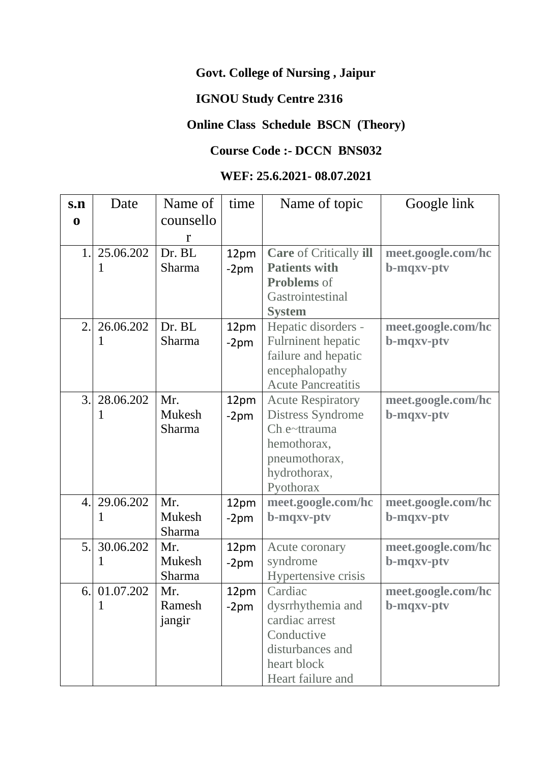## **Govt. College of Nursing , Jaipur**

# **IGNOU Study Centre 2316**

## **Online Class Schedule BSCN (Theory)**

#### **Course Code :- DCCN BNS032**

#### **WEF: 25.6.2021- 08.07.2021**

| s.n              | Date      | Name of       | time   | Name of topic                 | Google link        |
|------------------|-----------|---------------|--------|-------------------------------|--------------------|
| $\bf{0}$         |           | counsello     |        |                               |                    |
|                  |           | r             |        |                               |                    |
| 1.               | 25.06.202 | Dr. BL        | 12pm   | <b>Care</b> of Critically ill | meet.google.com/hc |
|                  |           | Sharma        | $-2pm$ | <b>Patients with</b>          | b-mqxv-ptv         |
|                  |           |               |        | <b>Problems</b> of            |                    |
|                  |           |               |        | Gastrointestinal              |                    |
|                  |           |               |        | <b>System</b>                 |                    |
| 2.               | 26.06.202 | Dr. BL        | 12pm   | Hepatic disorders -           | meet.google.com/hc |
|                  |           | Sharma        | $-2pm$ | <b>Fulrninent</b> hepatic     | b-mqxv-ptv         |
|                  |           |               |        | failure and hepatic           |                    |
|                  |           |               |        | encephalopathy                |                    |
|                  |           |               |        | <b>Acute Pancreatitis</b>     |                    |
| 3.               | 28.06.202 | Mr.           | 12pm   | <b>Acute Respiratory</b>      | meet.google.com/hc |
|                  |           | Mukesh        | $-2pm$ | <b>Distress Syndrome</b>      | b-mqxv-ptv         |
|                  |           | <b>Sharma</b> |        | Ch.e~ttrauma                  |                    |
|                  |           |               |        | hemothorax,                   |                    |
|                  |           |               |        | pneumothorax,                 |                    |
|                  |           |               |        | hydrothorax,                  |                    |
|                  |           |               |        | Pyothorax                     |                    |
| $\overline{4}$ . | 29.06.202 | Mr.           | 12pm   | meet.google.com/hc            | meet.google.com/hc |
|                  | 1         | Mukesh        | $-2pm$ | b-mqxv-ptv                    | b-mqxv-ptv         |
|                  |           | Sharma        |        |                               |                    |
| 5.               | 30.06.202 | Mr.           | 12pm   | Acute coronary                | meet.google.com/hc |
|                  | 1         | Mukesh        | $-2pm$ | syndrome                      | b-mqxv-ptv         |
|                  |           | Sharma        |        | Hypertensive crisis           |                    |
| 6.               | 01.07.202 | Mr.           | 12pm   | Cardiac                       | meet.google.com/hc |
|                  | 1         | Ramesh        | $-2pm$ | dysrrhythemia and             | b-mqxv-ptv         |
|                  |           | jangir        |        | cardiac arrest                |                    |
|                  |           |               |        | Conductive                    |                    |
|                  |           |               |        | disturbances and              |                    |
|                  |           |               |        | heart block                   |                    |
|                  |           |               |        | Heart failure and             |                    |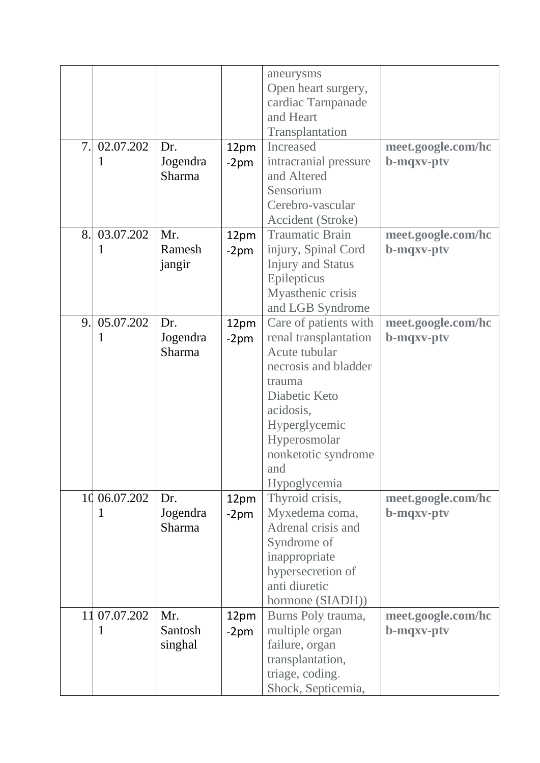|    |              |               |        | aneurysms<br>Open heart surgery,<br>cardiac Tarnpanade<br>and Heart<br>Transplantation |                    |
|----|--------------|---------------|--------|----------------------------------------------------------------------------------------|--------------------|
| 7. | 02.07.202    | Dr.           | 12pm   | Increased                                                                              | meet.google.com/hc |
|    | 1            | Jogendra      | $-2pm$ | intracranial pressure                                                                  | b-mqxv-ptv         |
|    |              | Sharma        |        | and Altered                                                                            |                    |
|    |              |               |        | Sensorium                                                                              |                    |
|    |              |               |        | Cerebro-vascular                                                                       |                    |
|    |              |               |        | Accident (Stroke)                                                                      |                    |
| 8. | 03.07.202    | Mr.           | 12pm   | <b>Traumatic Brain</b>                                                                 | meet.google.com/hc |
|    | 1            | Ramesh        | $-2pm$ | injury, Spinal Cord                                                                    | b-mqxv-ptv         |
|    |              | jangir        |        | <b>Injury and Status</b>                                                               |                    |
|    |              |               |        | Epilepticus<br>Myasthenic crisis                                                       |                    |
|    |              |               |        | and LGB Syndrome                                                                       |                    |
| 9. | 05.07.202    | Dr.           | 12pm   | Care of patients with                                                                  | meet.google.com/hc |
|    | 1            | Jogendra      | $-2pm$ | renal transplantation                                                                  | b-mqxv-ptv         |
|    |              | Sharma        |        | Acute tubular                                                                          |                    |
|    |              |               |        | necrosis and bladder                                                                   |                    |
|    |              |               |        | trauma                                                                                 |                    |
|    |              |               |        | Diabetic Keto                                                                          |                    |
|    |              |               |        | acidosis,                                                                              |                    |
|    |              |               |        | Hyperglycemic                                                                          |                    |
|    |              |               |        | Hyperosmolar                                                                           |                    |
|    |              |               |        | nonketotic syndrome                                                                    |                    |
|    |              |               |        | and                                                                                    |                    |
|    |              |               |        | Hypoglycemia                                                                           |                    |
|    | 10 06.07.202 | Dr.           | 12pm   | Thyroid crisis,                                                                        | meet.google.com/hc |
|    |              | Jogendra      | -2pm   | Myxedema coma,                                                                         | b-mqxv-ptv         |
|    |              | <b>Sharma</b> |        | Adrenal crisis and                                                                     |                    |
|    |              |               |        | Syndrome of                                                                            |                    |
|    |              |               |        | inappropriate                                                                          |                    |
|    |              |               |        | hypersecretion of                                                                      |                    |
|    |              |               |        | anti diuretic                                                                          |                    |
|    |              |               |        | hormone (SIADH))                                                                       |                    |
|    | 11 07:07.202 | Mr.           | 12pm   | Burns Poly trauma,                                                                     | meet.google.com/hc |
|    |              | Santosh       | $-2pm$ | multiple organ                                                                         | b-mqxv-ptv         |
|    |              | singhal       |        | failure, organ                                                                         |                    |
|    |              |               |        | transplantation,                                                                       |                    |
|    |              |               |        | triage, coding.                                                                        |                    |
|    |              |               |        | Shock, Septicemia,                                                                     |                    |